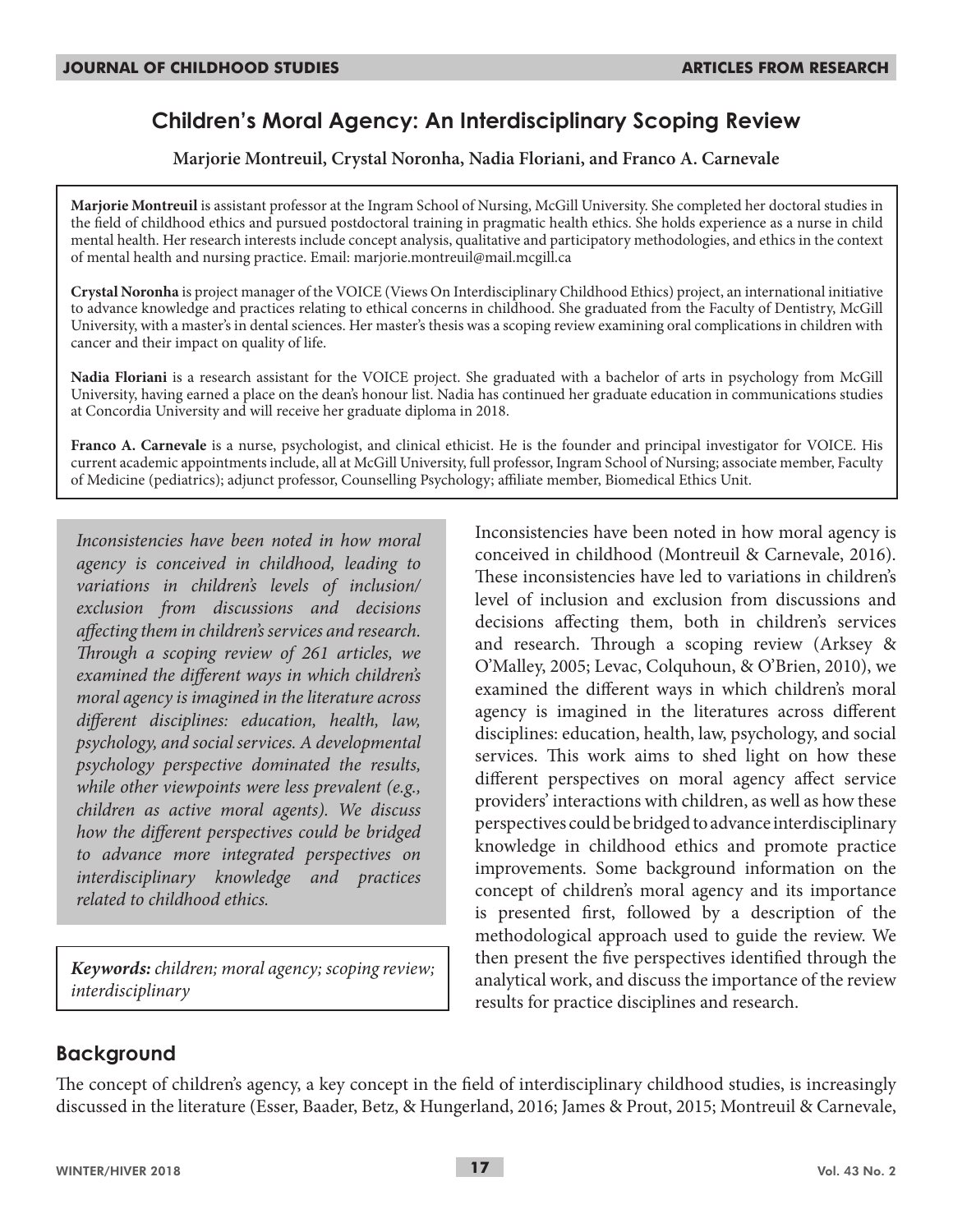# **Children's Moral Agency: An Interdisciplinary Scoping Review**

**Marjorie Montreuil, Crystal Noronha, Nadia Floriani, and Franco A. Carnevale**

**Marjorie Montreuil** is assistant professor at the Ingram School of Nursing, McGill University. She completed her doctoral studies in the field of childhood ethics and pursued postdoctoral training in pragmatic health ethics. She holds experience as a nurse in child mental health. Her research interests include concept analysis, qualitative and participatory methodologies, and ethics in the context of mental health and nursing practice. Email: marjorie.montreuil@mail.mcgill.ca

**Crystal Noronha** is project manager of the VOICE (Views On Interdisciplinary Childhood Ethics) project, an international initiative to advance knowledge and practices relating to ethical concerns in childhood. She graduated from the Faculty of Dentistry, McGill University, with a master's in dental sciences. Her master's thesis was a scoping review examining oral complications in children with cancer and their impact on quality of life.

**Nadia Floriani** is a research assistant for the VOICE project. She graduated with a bachelor of arts in psychology from McGill University, having earned a place on the dean's honour list. Nadia has continued her graduate education in communications studies at Concordia University and will receive her graduate diploma in 2018.

**Franco A. Carnevale** is a nurse, psychologist, and clinical ethicist. He is the founder and principal investigator for VOICE. His current academic appointments include, all at McGill University, full professor, Ingram School of Nursing; associate member, Faculty of Medicine (pediatrics); adjunct professor, Counselling Psychology; affiliate member, Biomedical Ethics Unit.

*Inconsistencies have been noted in how moral agency is conceived in childhood, leading to variations in children's levels of inclusion/ exclusion from discussions and decisions affecting them in children's services and research. Through a scoping review of 261 articles, we examined the different ways in which children's moral agency is imagined in the literature across different disciplines: education, health, law, psychology, and social services. A developmental psychology perspective dominated the results, while other viewpoints were less prevalent (e.g., children as active moral agents). We discuss how the different perspectives could be bridged to advance more integrated perspectives on interdisciplinary knowledge and practices related to childhood ethics.*

*Keywords: children; moral agency; scoping review; interdisciplinary*

Inconsistencies have been noted in how moral agency is conceived in childhood (Montreuil & Carnevale, 2016). These inconsistencies have led to variations in children's level of inclusion and exclusion from discussions and decisions affecting them, both in children's services and research. Through a scoping review (Arksey & O'Malley, 2005; Levac, Colquhoun, & O'Brien, 2010), we examined the different ways in which children's moral agency is imagined in the literatures across different disciplines: education, health, law, psychology, and social services. This work aims to shed light on how these different perspectives on moral agency affect service providers' interactions with children, as well as how these perspectives could be bridged to advance interdisciplinary knowledge in childhood ethics and promote practice improvements. Some background information on the concept of children's moral agency and its importance is presented first, followed by a description of the methodological approach used to guide the review. We then present the five perspectives identified through the analytical work, and discuss the importance of the review results for practice disciplines and research.

# **Background**

The concept of children's agency, a key concept in the field of interdisciplinary childhood studies, is increasingly discussed in the literature (Esser, Baader, Betz, & Hungerland, 2016; James & Prout, 2015; Montreuil & Carnevale,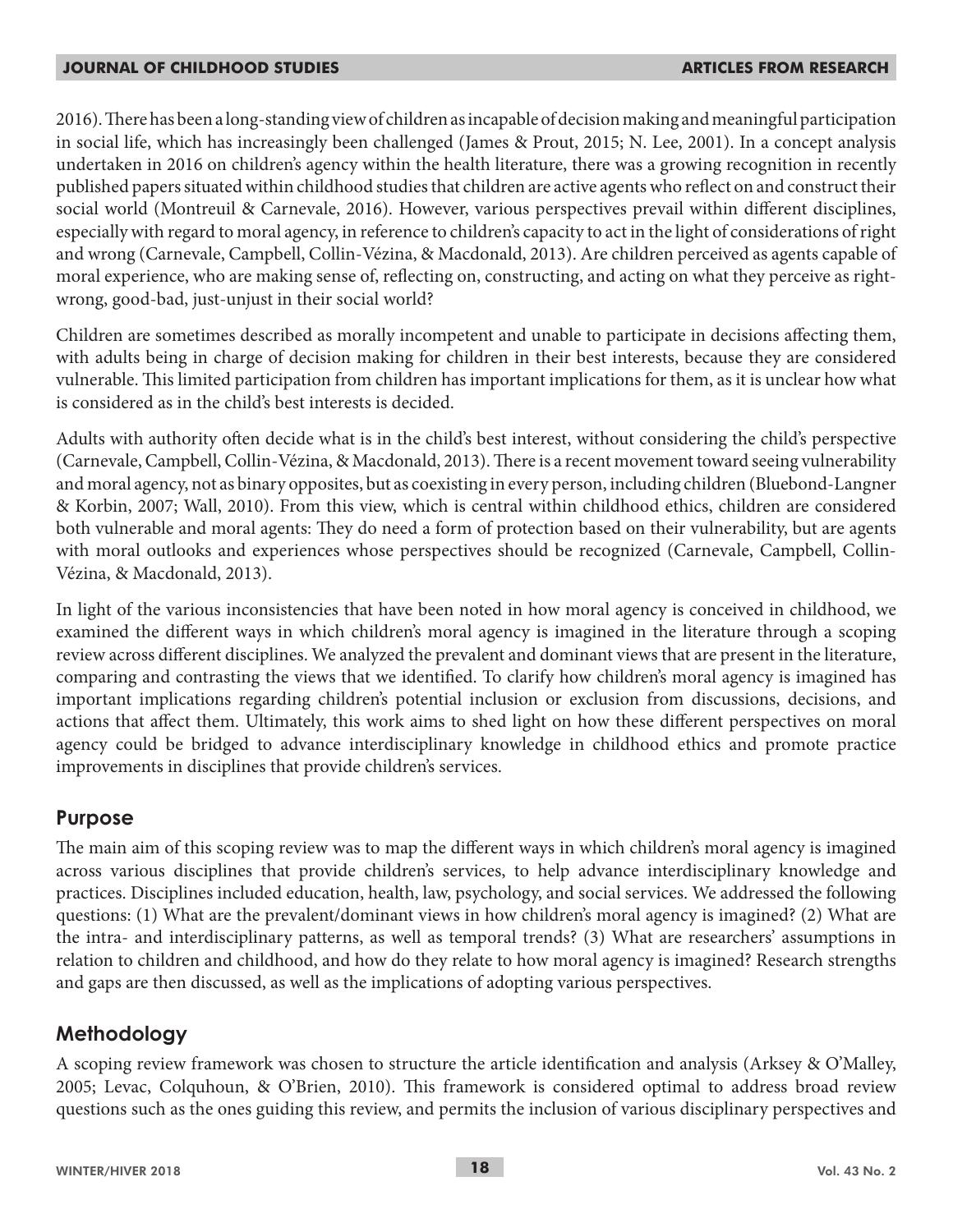2016). There has been a long-standing view of children as incapable of decision making and meaningful participation in social life, which has increasingly been challenged (James & Prout, 2015; N. Lee, 2001). In a concept analysis undertaken in 2016 on children's agency within the health literature, there was a growing recognition in recently published papers situated within childhood studies that children are active agents who reflect on and construct their social world (Montreuil & Carnevale, 2016). However, various perspectives prevail within different disciplines, especially with regard to moral agency, in reference to children's capacity to act in the light of considerations of right and wrong (Carnevale, Campbell, Collin-Vézina, & Macdonald, 2013). Are children perceived as agents capable of moral experience, who are making sense of, reflecting on, constructing, and acting on what they perceive as rightwrong, good-bad, just-unjust in their social world?

Children are sometimes described as morally incompetent and unable to participate in decisions affecting them, with adults being in charge of decision making for children in their best interests, because they are considered vulnerable. This limited participation from children has important implications for them, as it is unclear how what is considered as in the child's best interests is decided.

Adults with authority often decide what is in the child's best interest, without considering the child's perspective (Carnevale, Campbell, Collin-Vézina, & Macdonald, 2013). There is a recent movement toward seeing vulnerability and moral agency, not as binary opposites, but as coexisting in every person, including children (Bluebond-Langner & Korbin, 2007; Wall, 2010). From this view, which is central within childhood ethics, children are considered both vulnerable and moral agents: They do need a form of protection based on their vulnerability, but are agents with moral outlooks and experiences whose perspectives should be recognized (Carnevale, Campbell, Collin-Vézina, & Macdonald, 2013).

In light of the various inconsistencies that have been noted in how moral agency is conceived in childhood, we examined the different ways in which children's moral agency is imagined in the literature through a scoping review across different disciplines. We analyzed the prevalent and dominant views that are present in the literature, comparing and contrasting the views that we identified. To clarify how children's moral agency is imagined has important implications regarding children's potential inclusion or exclusion from discussions, decisions, and actions that affect them. Ultimately, this work aims to shed light on how these different perspectives on moral agency could be bridged to advance interdisciplinary knowledge in childhood ethics and promote practice improvements in disciplines that provide children's services.

# **Purpose**

The main aim of this scoping review was to map the different ways in which children's moral agency is imagined across various disciplines that provide children's services, to help advance interdisciplinary knowledge and practices. Disciplines included education, health, law, psychology, and social services. We addressed the following questions: (1) What are the prevalent/dominant views in how children's moral agency is imagined? (2) What are the intra- and interdisciplinary patterns, as well as temporal trends? (3) What are researchers' assumptions in relation to children and childhood, and how do they relate to how moral agency is imagined? Research strengths and gaps are then discussed, as well as the implications of adopting various perspectives.

# **Methodology**

A scoping review framework was chosen to structure the article identification and analysis (Arksey & O'Malley, 2005; Levac, Colquhoun, & O'Brien, 2010). This framework is considered optimal to address broad review questions such as the ones guiding this review, and permits the inclusion of various disciplinary perspectives and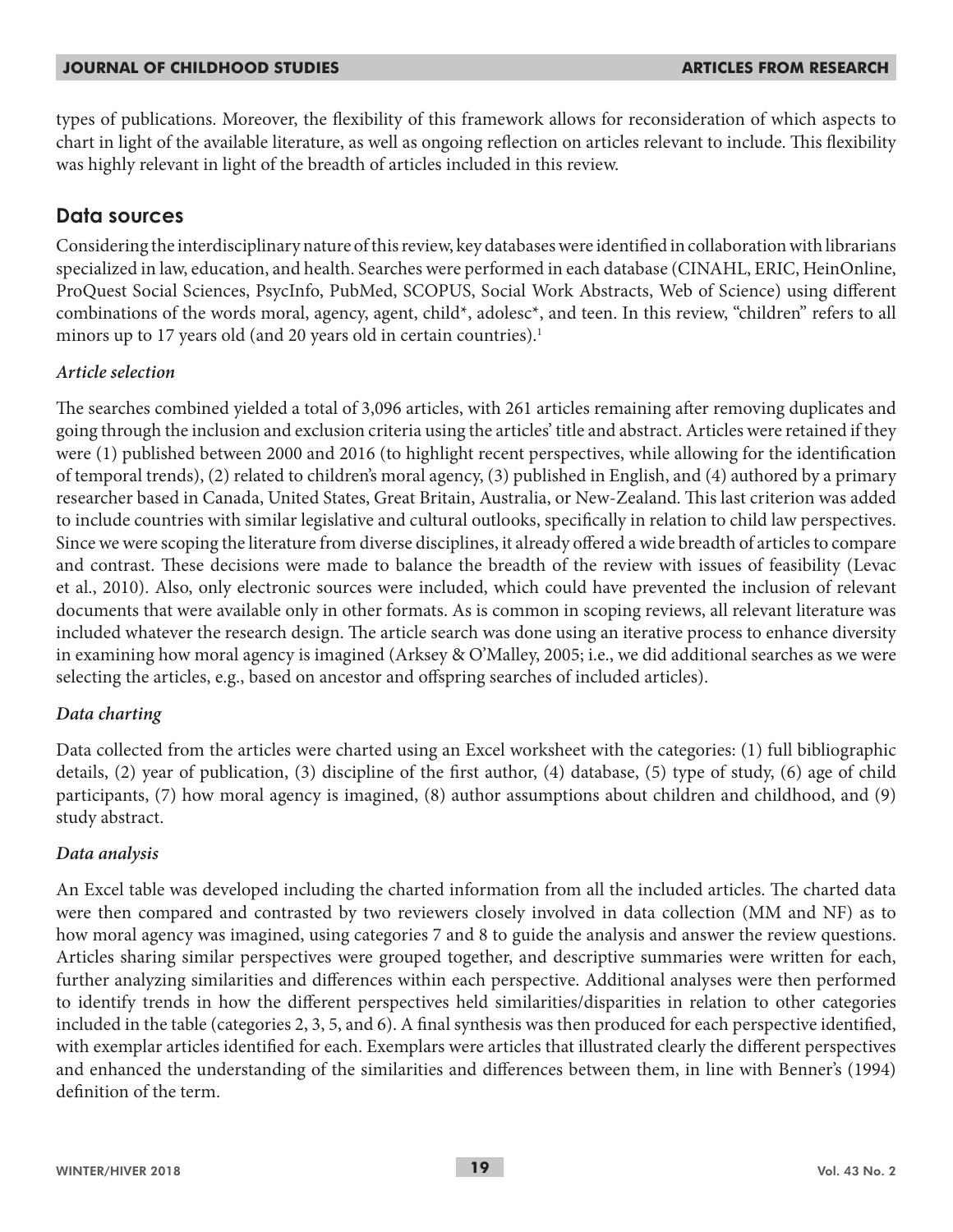types of publications. Moreover, the flexibility of this framework allows for reconsideration of which aspects to chart in light of the available literature, as well as ongoing reflection on articles relevant to include. This flexibility was highly relevant in light of the breadth of articles included in this review.

## **Data sources**

Considering the interdisciplinary nature of this review, key databases were identified in collaboration with librarians specialized in law, education, and health. Searches were performed in each database (CINAHL, ERIC, HeinOnline, ProQuest Social Sciences, PsycInfo, PubMed, SCOPUS, Social Work Abstracts, Web of Science) using different combinations of the words moral, agency, agent, child\*, adolesc\*, and teen. In this review, "children" refers to all minors up to 17 years old (and 20 years old in certain countries).<sup>1</sup>

### *Article selection*

The searches combined yielded a total of 3,096 articles, with 261 articles remaining after removing duplicates and going through the inclusion and exclusion criteria using the articles' title and abstract. Articles were retained if they were (1) published between 2000 and 2016 (to highlight recent perspectives, while allowing for the identification of temporal trends), (2) related to children's moral agency, (3) published in English, and (4) authored by a primary researcher based in Canada, United States, Great Britain, Australia, or New-Zealand. This last criterion was added to include countries with similar legislative and cultural outlooks, specifically in relation to child law perspectives. Since we were scoping the literature from diverse disciplines, it already offered a wide breadth of articles to compare and contrast. These decisions were made to balance the breadth of the review with issues of feasibility (Levac et al., 2010). Also, only electronic sources were included, which could have prevented the inclusion of relevant documents that were available only in other formats. As is common in scoping reviews, all relevant literature was included whatever the research design. The article search was done using an iterative process to enhance diversity in examining how moral agency is imagined (Arksey & O'Malley, 2005; i.e., we did additional searches as we were selecting the articles, e.g., based on ancestor and offspring searches of included articles).

### *Data charting*

Data collected from the articles were charted using an Excel worksheet with the categories: (1) full bibliographic details, (2) year of publication, (3) discipline of the first author, (4) database, (5) type of study, (6) age of child participants, (7) how moral agency is imagined, (8) author assumptions about children and childhood, and (9) study abstract.

### *Data analysis*

An Excel table was developed including the charted information from all the included articles. The charted data were then compared and contrasted by two reviewers closely involved in data collection (MM and NF) as to how moral agency was imagined, using categories 7 and 8 to guide the analysis and answer the review questions. Articles sharing similar perspectives were grouped together, and descriptive summaries were written for each, further analyzing similarities and differences within each perspective. Additional analyses were then performed to identify trends in how the different perspectives held similarities/disparities in relation to other categories included in the table (categories 2, 3, 5, and 6). A final synthesis was then produced for each perspective identified, with exemplar articles identified for each. Exemplars were articles that illustrated clearly the different perspectives and enhanced the understanding of the similarities and differences between them, in line with Benner's (1994) definition of the term.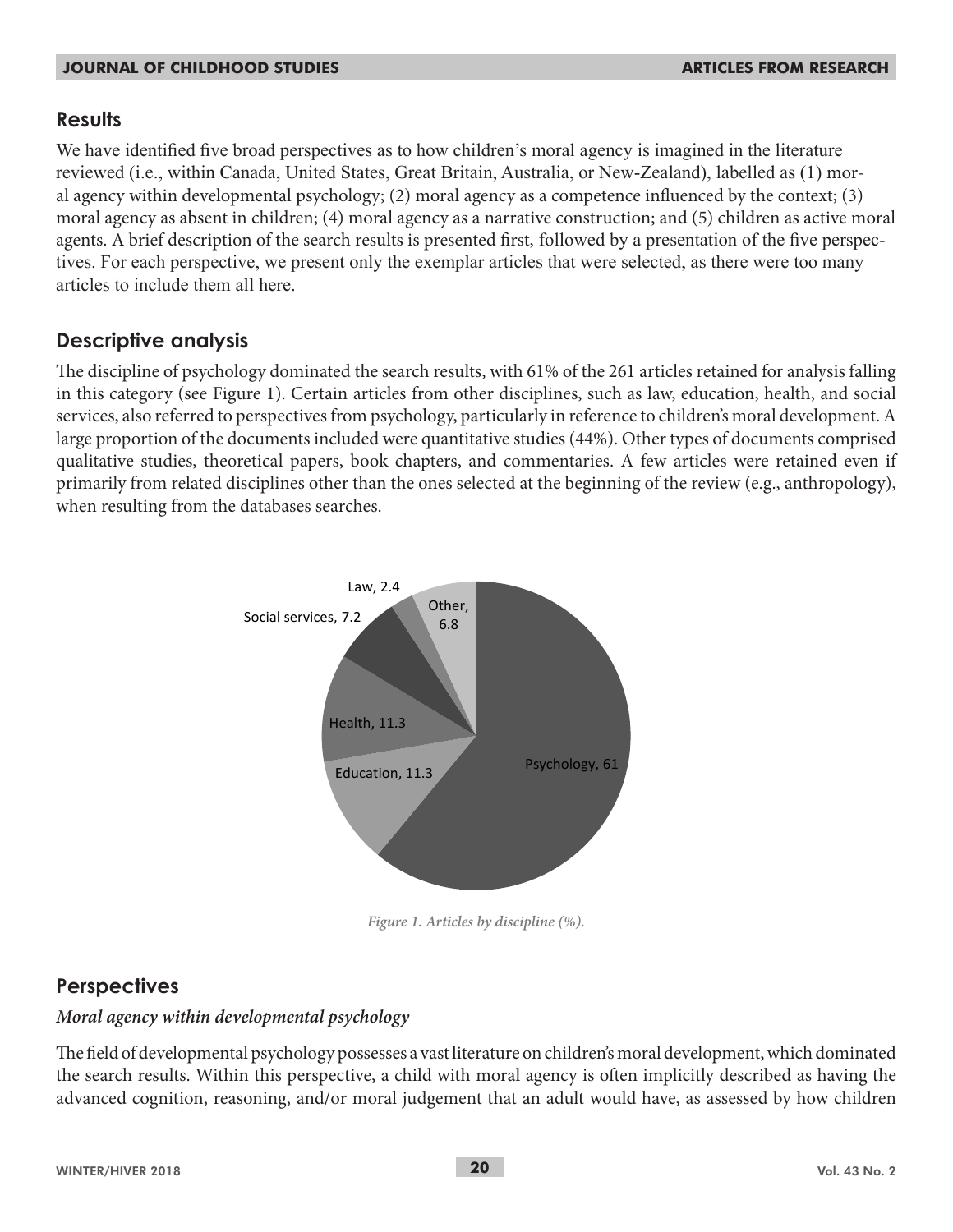## **Results**

We have identified five broad perspectives as to how children's moral agency is imagined in the literature reviewed (i.e., within Canada, United States, Great Britain, Australia, or New-Zealand), labelled as (1) moral agency within developmental psychology; (2) moral agency as a competence influenced by the context; (3) moral agency as absent in children; (4) moral agency as a narrative construction; and (5) children as active moral agents. A brief description of the search results is presented first, followed by a presentation of the five perspectives. For each perspective, we present only the exemplar articles that were selected, as there were too many articles to include them all here.

# **Descriptive analysis**

The discipline of psychology dominated the search results, with 61% of the 261 articles retained for analysis falling in this category (see Figure 1). Certain articles from other disciplines, such as law, education, health, and social services, also referred to perspectives from psychology, particularly in reference to children's moral development. A large proportion of the documents included were quantitative studies (44%). Other types of documents comprised qualitative studies, theoretical papers, book chapters, and commentaries. A few articles were retained even if primarily from related disciplines other than the ones selected at the beginning of the review (e.g., anthropology), when resulting from the databases searches.



*Figure 1. Articles by discipline (%).*

#### **Perspectives Fig.1 Articles by discipline (%)**

## *Moral agency within developmental psychology*

The field of developmental psychology possesses a vast literature on children's moral development, which dominated the search results. Within this perspective, a child with moral agency is often implicitly described as having the advanced cognition, reasoning, and/or moral judgement that an adult would have, as assessed by how children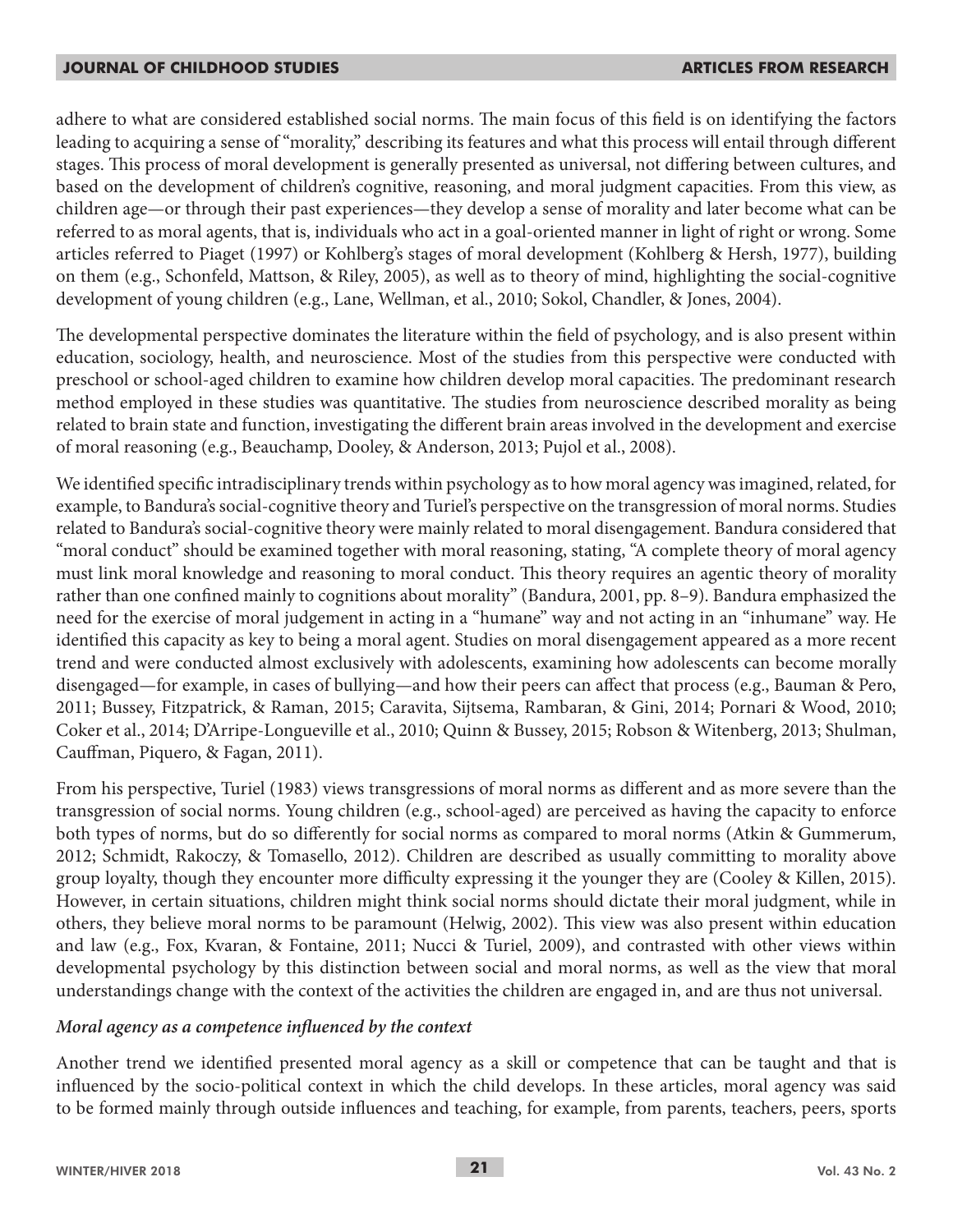adhere to what are considered established social norms. The main focus of this field is on identifying the factors leading to acquiring a sense of "morality," describing its features and what this process will entail through different stages. This process of moral development is generally presented as universal, not differing between cultures, and based on the development of children's cognitive, reasoning, and moral judgment capacities. From this view, as children age—or through their past experiences—they develop a sense of morality and later become what can be referred to as moral agents, that is, individuals who act in a goal-oriented manner in light of right or wrong. Some articles referred to Piaget (1997) or Kohlberg's stages of moral development (Kohlberg & Hersh, 1977), building on them (e.g., Schonfeld, Mattson, & Riley, 2005), as well as to theory of mind, highlighting the social-cognitive development of young children (e.g., Lane, Wellman, et al., 2010; Sokol, Chandler, & Jones, 2004).

The developmental perspective dominates the literature within the field of psychology, and is also present within education, sociology, health, and neuroscience. Most of the studies from this perspective were conducted with preschool or school-aged children to examine how children develop moral capacities. The predominant research method employed in these studies was quantitative. The studies from neuroscience described morality as being related to brain state and function, investigating the different brain areas involved in the development and exercise of moral reasoning (e.g., Beauchamp, Dooley, & Anderson, 2013; Pujol et al., 2008).

We identified specific intradisciplinary trends within psychology as to how moral agency was imagined, related, for example, to Bandura's social-cognitive theory and Turiel's perspective on the transgression of moral norms. Studies related to Bandura's social-cognitive theory were mainly related to moral disengagement. Bandura considered that "moral conduct" should be examined together with moral reasoning, stating, "A complete theory of moral agency must link moral knowledge and reasoning to moral conduct. This theory requires an agentic theory of morality rather than one confined mainly to cognitions about morality" (Bandura, 2001, pp. 8–9). Bandura emphasized the need for the exercise of moral judgement in acting in a "humane" way and not acting in an "inhumane" way. He identified this capacity as key to being a moral agent. Studies on moral disengagement appeared as a more recent trend and were conducted almost exclusively with adolescents, examining how adolescents can become morally disengaged—for example, in cases of bullying—and how their peers can affect that process (e.g., Bauman & Pero, 2011; Bussey, Fitzpatrick, & Raman, 2015; Caravita, Sijtsema, Rambaran, & Gini, 2014; Pornari & Wood, 2010; Coker et al., 2014; D'Arripe-Longueville et al., 2010; Quinn & Bussey, 2015; Robson & Witenberg, 2013; Shulman, Cauffman, Piquero, & Fagan, 2011).

From his perspective, Turiel (1983) views transgressions of moral norms as different and as more severe than the transgression of social norms. Young children (e.g., school-aged) are perceived as having the capacity to enforce both types of norms, but do so differently for social norms as compared to moral norms (Atkin & Gummerum, 2012; Schmidt, Rakoczy, & Tomasello, 2012). Children are described as usually committing to morality above group loyalty, though they encounter more difficulty expressing it the younger they are (Cooley & Killen, 2015). However, in certain situations, children might think social norms should dictate their moral judgment, while in others, they believe moral norms to be paramount (Helwig, 2002). This view was also present within education and law (e.g., Fox, Kvaran, & Fontaine, 2011; Nucci & Turiel, 2009), and contrasted with other views within developmental psychology by this distinction between social and moral norms, as well as the view that moral understandings change with the context of the activities the children are engaged in, and are thus not universal.

#### *Moral agency as a competence influenced by the context*

Another trend we identified presented moral agency as a skill or competence that can be taught and that is influenced by the socio-political context in which the child develops. In these articles, moral agency was said to be formed mainly through outside influences and teaching, for example, from parents, teachers, peers, sports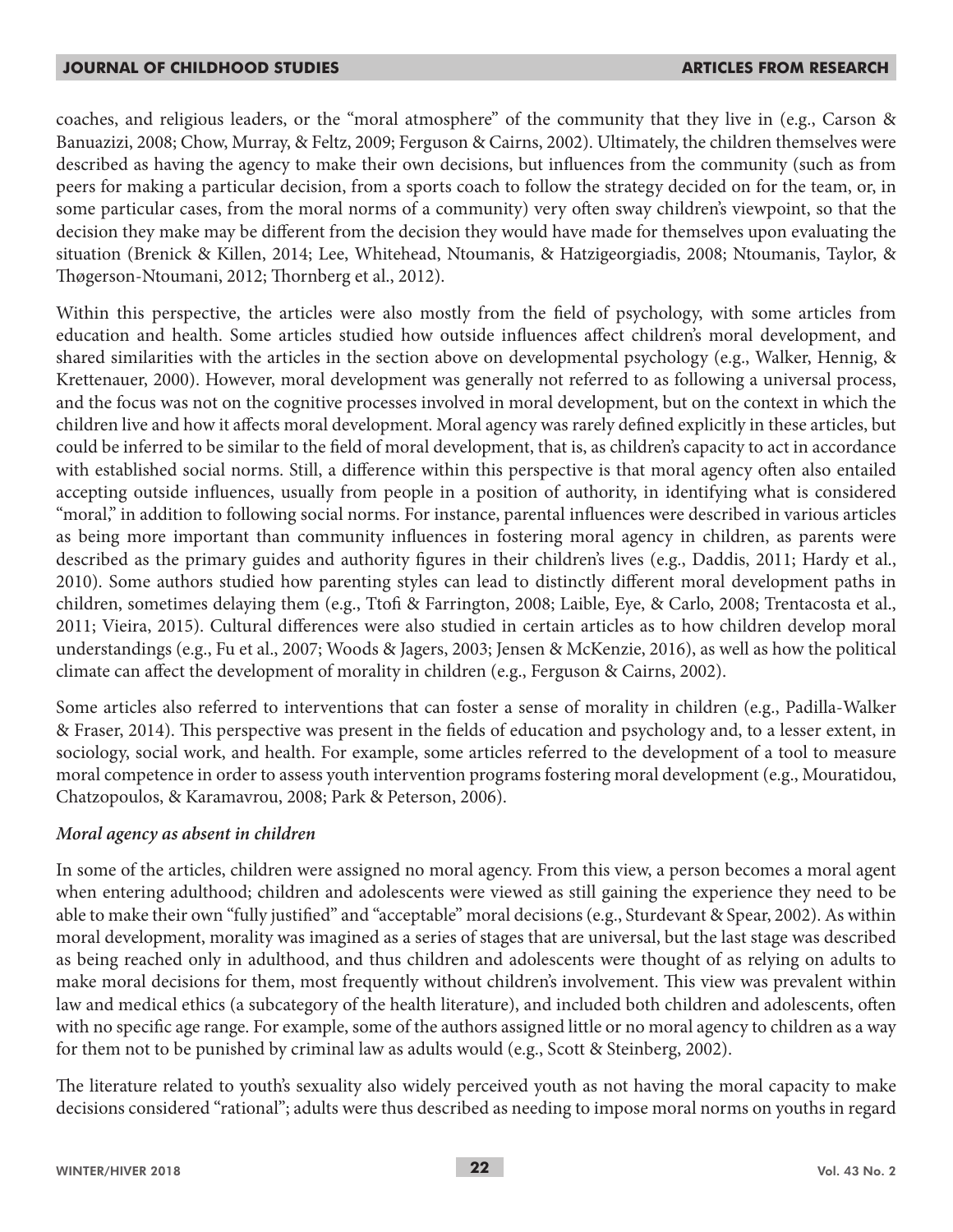coaches, and religious leaders, or the "moral atmosphere" of the community that they live in (e.g., Carson & Banuazizi, 2008; Chow, Murray, & Feltz, 2009; Ferguson & Cairns, 2002). Ultimately, the children themselves were described as having the agency to make their own decisions, but influences from the community (such as from peers for making a particular decision, from a sports coach to follow the strategy decided on for the team, or, in some particular cases, from the moral norms of a community) very often sway children's viewpoint, so that the decision they make may be different from the decision they would have made for themselves upon evaluating the situation (Brenick & Killen, 2014; Lee, Whitehead, Ntoumanis, & Hatzigeorgiadis, 2008; Ntoumanis, Taylor, & Thøgerson-Ntoumani, 2012; Thornberg et al., 2012).

Within this perspective, the articles were also mostly from the field of psychology, with some articles from education and health. Some articles studied how outside influences affect children's moral development, and shared similarities with the articles in the section above on developmental psychology (e.g., Walker, Hennig, & Krettenauer, 2000). However, moral development was generally not referred to as following a universal process, and the focus was not on the cognitive processes involved in moral development, but on the context in which the children live and how it affects moral development. Moral agency was rarely defined explicitly in these articles, but could be inferred to be similar to the field of moral development, that is, as children's capacity to act in accordance with established social norms. Still, a difference within this perspective is that moral agency often also entailed accepting outside influences, usually from people in a position of authority, in identifying what is considered "moral," in addition to following social norms. For instance, parental influences were described in various articles as being more important than community influences in fostering moral agency in children, as parents were described as the primary guides and authority figures in their children's lives (e.g., Daddis, 2011; Hardy et al., 2010). Some authors studied how parenting styles can lead to distinctly different moral development paths in children, sometimes delaying them (e.g., Ttofi & Farrington, 2008; Laible, Eye, & Carlo, 2008; Trentacosta et al., 2011; Vieira, 2015). Cultural differences were also studied in certain articles as to how children develop moral understandings (e.g., Fu et al., 2007; Woods & Jagers, 2003; Jensen & McKenzie, 2016), as well as how the political climate can affect the development of morality in children (e.g., Ferguson & Cairns, 2002).

Some articles also referred to interventions that can foster a sense of morality in children (e.g., Padilla-Walker & Fraser, 2014). This perspective was present in the fields of education and psychology and, to a lesser extent, in sociology, social work, and health. For example, some articles referred to the development of a tool to measure moral competence in order to assess youth intervention programs fostering moral development (e.g., Mouratidou, Chatzopoulos, & Karamavrou, 2008; Park & Peterson, 2006).

#### *Moral agency as absent in children*

In some of the articles, children were assigned no moral agency. From this view, a person becomes a moral agent when entering adulthood; children and adolescents were viewed as still gaining the experience they need to be able to make their own "fully justified" and "acceptable" moral decisions (e.g., Sturdevant & Spear, 2002). As within moral development, morality was imagined as a series of stages that are universal, but the last stage was described as being reached only in adulthood, and thus children and adolescents were thought of as relying on adults to make moral decisions for them, most frequently without children's involvement. This view was prevalent within law and medical ethics (a subcategory of the health literature), and included both children and adolescents, often with no specific age range. For example, some of the authors assigned little or no moral agency to children as a way for them not to be punished by criminal law as adults would (e.g., Scott & Steinberg, 2002).

The literature related to youth's sexuality also widely perceived youth as not having the moral capacity to make decisions considered "rational"; adults were thus described as needing to impose moral norms on youths in regard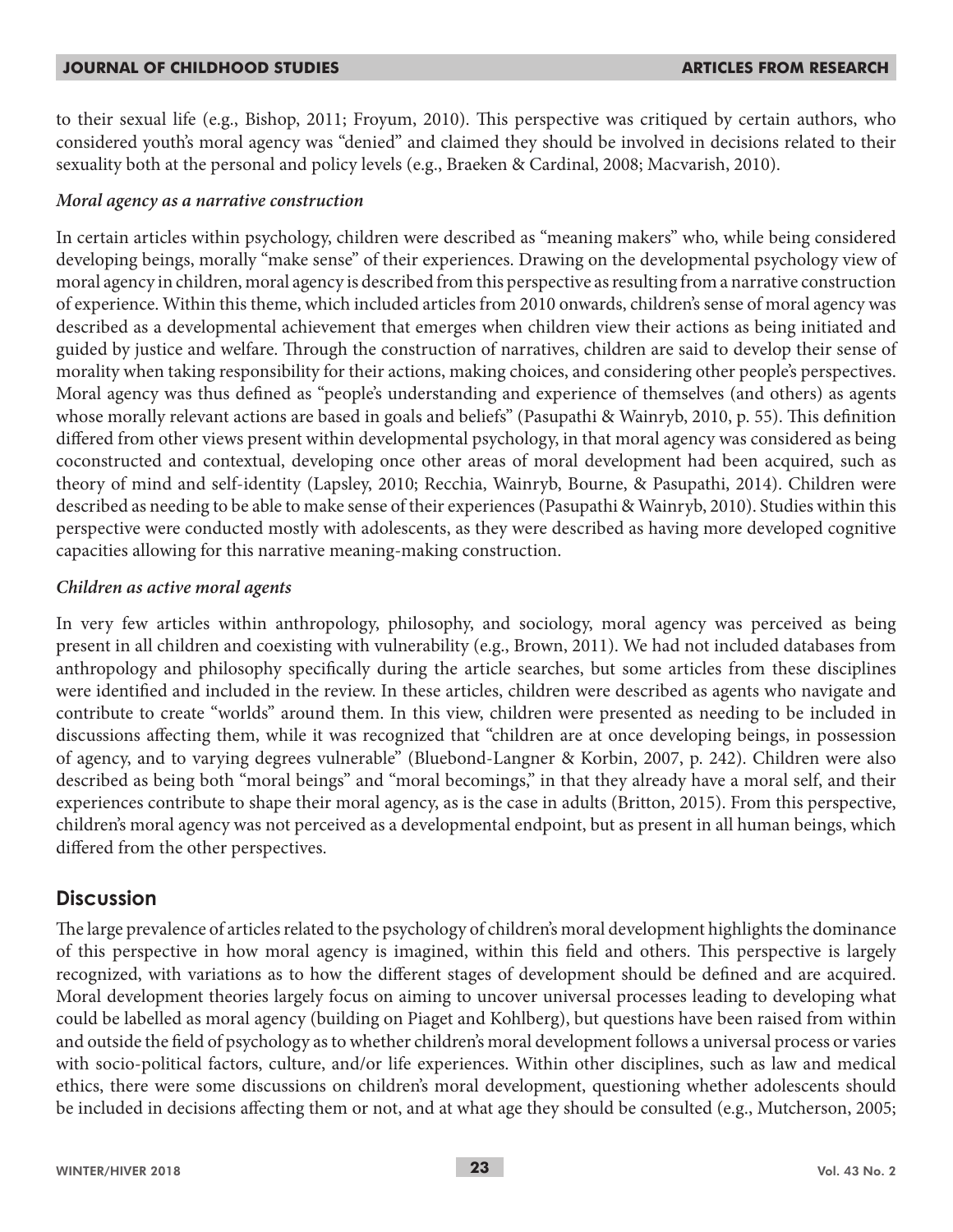to their sexual life (e.g., Bishop, 2011; Froyum, 2010). This perspective was critiqued by certain authors, who considered youth's moral agency was "denied" and claimed they should be involved in decisions related to their sexuality both at the personal and policy levels (e.g., Braeken & Cardinal, 2008; Macvarish, 2010).

### *Moral agency as a narrative construction*

In certain articles within psychology, children were described as "meaning makers" who, while being considered developing beings, morally "make sense" of their experiences. Drawing on the developmental psychology view of moral agency in children, moral agency is described from this perspective as resulting from a narrative construction of experience. Within this theme, which included articles from 2010 onwards, children's sense of moral agency was described as a developmental achievement that emerges when children view their actions as being initiated and guided by justice and welfare. Through the construction of narratives, children are said to develop their sense of morality when taking responsibility for their actions, making choices, and considering other people's perspectives. Moral agency was thus defined as "people's understanding and experience of themselves (and others) as agents whose morally relevant actions are based in goals and beliefs" (Pasupathi & Wainryb, 2010, p. 55). This definition differed from other views present within developmental psychology, in that moral agency was considered as being coconstructed and contextual, developing once other areas of moral development had been acquired, such as theory of mind and self-identity (Lapsley, 2010; Recchia, Wainryb, Bourne, & Pasupathi, 2014). Children were described as needing to be able to make sense of their experiences (Pasupathi & Wainryb, 2010). Studies within this perspective were conducted mostly with adolescents, as they were described as having more developed cognitive capacities allowing for this narrative meaning-making construction.

### *Children as active moral agents*

In very few articles within anthropology, philosophy, and sociology, moral agency was perceived as being present in all children and coexisting with vulnerability (e.g., Brown, 2011). We had not included databases from anthropology and philosophy specifically during the article searches, but some articles from these disciplines were identified and included in the review. In these articles, children were described as agents who navigate and contribute to create "worlds" around them. In this view, children were presented as needing to be included in discussions affecting them, while it was recognized that "children are at once developing beings, in possession of agency, and to varying degrees vulnerable" (Bluebond-Langner & Korbin, 2007, p. 242). Children were also described as being both "moral beings" and "moral becomings," in that they already have a moral self, and their experiences contribute to shape their moral agency, as is the case in adults (Britton, 2015). From this perspective, children's moral agency was not perceived as a developmental endpoint, but as present in all human beings, which differed from the other perspectives.

# **Discussion**

The large prevalence of articles related to the psychology of children's moral development highlights the dominance of this perspective in how moral agency is imagined, within this field and others. This perspective is largely recognized, with variations as to how the different stages of development should be defined and are acquired. Moral development theories largely focus on aiming to uncover universal processes leading to developing what could be labelled as moral agency (building on Piaget and Kohlberg), but questions have been raised from within and outside the field of psychology as to whether children's moral development follows a universal process or varies with socio-political factors, culture, and/or life experiences. Within other disciplines, such as law and medical ethics, there were some discussions on children's moral development, questioning whether adolescents should be included in decisions affecting them or not, and at what age they should be consulted (e.g., Mutcherson, 2005;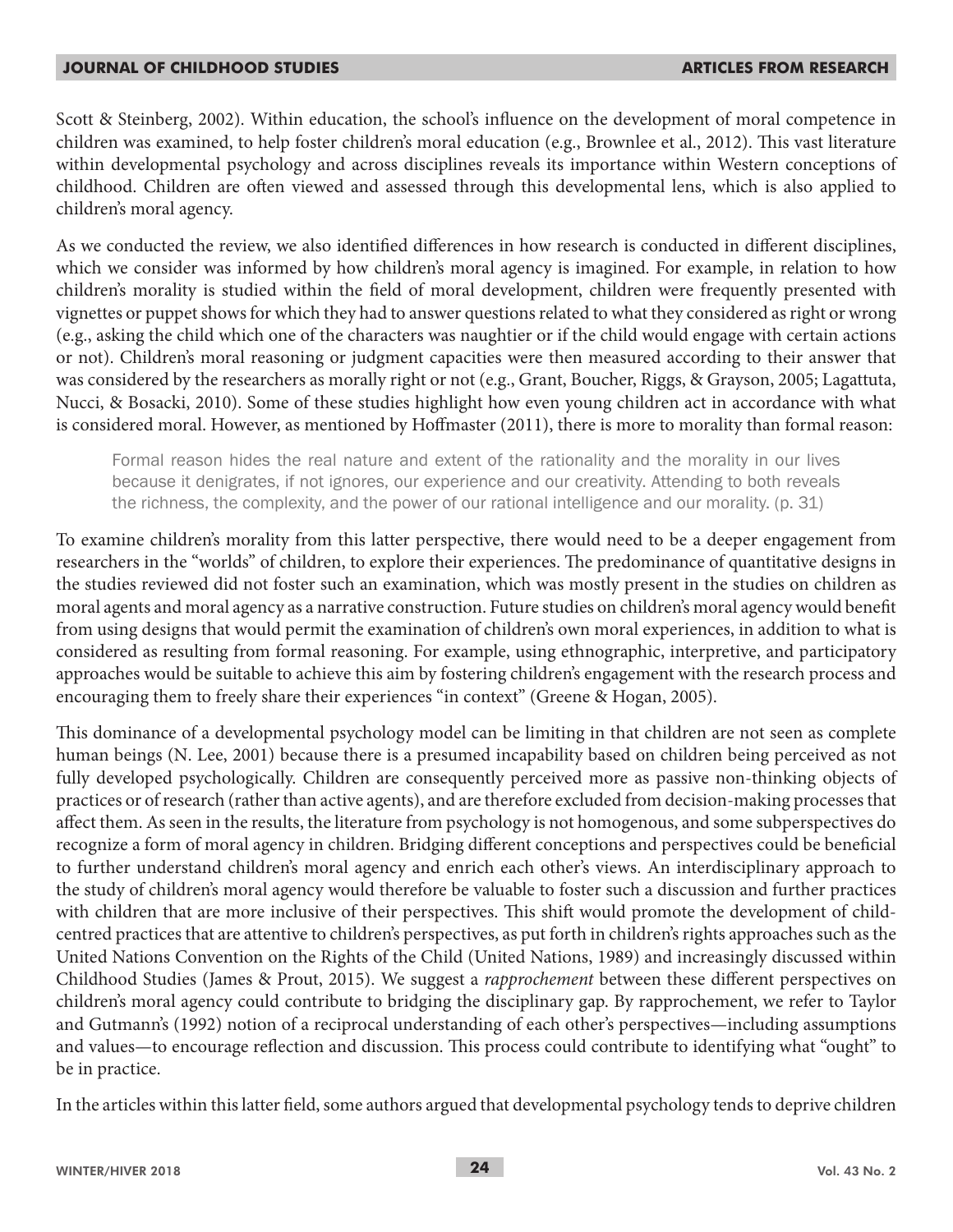Scott & Steinberg, 2002). Within education, the school's influence on the development of moral competence in children was examined, to help foster children's moral education (e.g., Brownlee et al., 2012). This vast literature within developmental psychology and across disciplines reveals its importance within Western conceptions of childhood. Children are often viewed and assessed through this developmental lens, which is also applied to children's moral agency.

As we conducted the review, we also identified differences in how research is conducted in different disciplines, which we consider was informed by how children's moral agency is imagined. For example, in relation to how children's morality is studied within the field of moral development, children were frequently presented with vignettes or puppet shows for which they had to answer questions related to what they considered as right or wrong (e.g., asking the child which one of the characters was naughtier or if the child would engage with certain actions or not). Children's moral reasoning or judgment capacities were then measured according to their answer that was considered by the researchers as morally right or not (e.g., Grant, Boucher, Riggs, & Grayson, 2005; Lagattuta, Nucci, & Bosacki, 2010). Some of these studies highlight how even young children act in accordance with what is considered moral. However, as mentioned by Hoffmaster (2011), there is more to morality than formal reason:

Formal reason hides the real nature and extent of the rationality and the morality in our lives because it denigrates, if not ignores, our experience and our creativity. Attending to both reveals the richness, the complexity, and the power of our rational intelligence and our morality. (p. 31)

To examine children's morality from this latter perspective, there would need to be a deeper engagement from researchers in the "worlds" of children, to explore their experiences. The predominance of quantitative designs in the studies reviewed did not foster such an examination, which was mostly present in the studies on children as moral agents and moral agency as a narrative construction. Future studies on children's moral agency would benefit from using designs that would permit the examination of children's own moral experiences, in addition to what is considered as resulting from formal reasoning. For example, using ethnographic, interpretive, and participatory approaches would be suitable to achieve this aim by fostering children's engagement with the research process and encouraging them to freely share their experiences "in context" (Greene & Hogan, 2005).

This dominance of a developmental psychology model can be limiting in that children are not seen as complete human beings (N. Lee, 2001) because there is a presumed incapability based on children being perceived as not fully developed psychologically. Children are consequently perceived more as passive non-thinking objects of practices or of research (rather than active agents), and are therefore excluded from decision-making processes that affect them. As seen in the results, the literature from psychology is not homogenous, and some subperspectives do recognize a form of moral agency in children. Bridging different conceptions and perspectives could be beneficial to further understand children's moral agency and enrich each other's views. An interdisciplinary approach to the study of children's moral agency would therefore be valuable to foster such a discussion and further practices with children that are more inclusive of their perspectives. This shift would promote the development of childcentred practices that are attentive to children's perspectives, as put forth in children's rights approaches such as the United Nations Convention on the Rights of the Child (United Nations, 1989) and increasingly discussed within Childhood Studies (James & Prout, 2015). We suggest a *rapprochement* between these different perspectives on children's moral agency could contribute to bridging the disciplinary gap. By rapprochement, we refer to Taylor and Gutmann's (1992) notion of a reciprocal understanding of each other's perspectives—including assumptions and values—to encourage reflection and discussion. This process could contribute to identifying what "ought" to be in practice.

In the articles within this latter field, some authors argued that developmental psychology tends to deprive children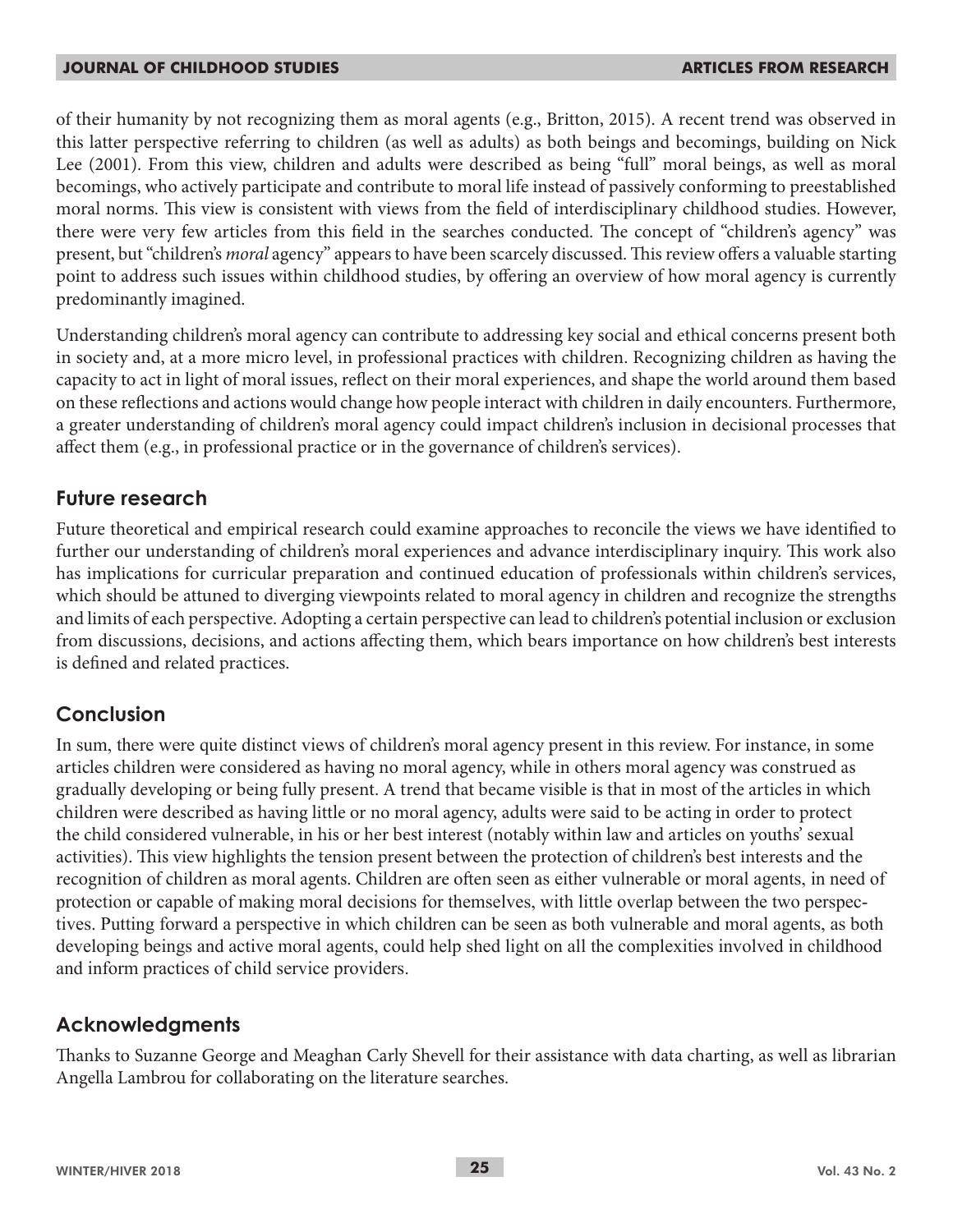of their humanity by not recognizing them as moral agents (e.g., Britton, 2015). A recent trend was observed in this latter perspective referring to children (as well as adults) as both beings and becomings, building on Nick Lee (2001). From this view, children and adults were described as being "full" moral beings, as well as moral becomings, who actively participate and contribute to moral life instead of passively conforming to preestablished moral norms. This view is consistent with views from the field of interdisciplinary childhood studies. However, there were very few articles from this field in the searches conducted. The concept of "children's agency" was present, but "children's *moral* agency" appears to have been scarcely discussed. This review offers a valuable starting point to address such issues within childhood studies, by offering an overview of how moral agency is currently predominantly imagined.

Understanding children's moral agency can contribute to addressing key social and ethical concerns present both in society and, at a more micro level, in professional practices with children. Recognizing children as having the capacity to act in light of moral issues, reflect on their moral experiences, and shape the world around them based on these reflections and actions would change how people interact with children in daily encounters. Furthermore, a greater understanding of children's moral agency could impact children's inclusion in decisional processes that affect them (e.g., in professional practice or in the governance of children's services).

## **Future research**

Future theoretical and empirical research could examine approaches to reconcile the views we have identified to further our understanding of children's moral experiences and advance interdisciplinary inquiry. This work also has implications for curricular preparation and continued education of professionals within children's services, which should be attuned to diverging viewpoints related to moral agency in children and recognize the strengths and limits of each perspective. Adopting a certain perspective can lead to children's potential inclusion or exclusion from discussions, decisions, and actions affecting them, which bears importance on how children's best interests is defined and related practices.

## **Conclusion**

In sum, there were quite distinct views of children's moral agency present in this review. For instance, in some articles children were considered as having no moral agency, while in others moral agency was construed as gradually developing or being fully present. A trend that became visible is that in most of the articles in which children were described as having little or no moral agency, adults were said to be acting in order to protect the child considered vulnerable, in his or her best interest (notably within law and articles on youths' sexual activities). This view highlights the tension present between the protection of children's best interests and the recognition of children as moral agents. Children are often seen as either vulnerable or moral agents, in need of protection or capable of making moral decisions for themselves, with little overlap between the two perspectives. Putting forward a perspective in which children can be seen as both vulnerable and moral agents, as both developing beings and active moral agents, could help shed light on all the complexities involved in childhood and inform practices of child service providers.

## **Acknowledgments**

Thanks to Suzanne George and Meaghan Carly Shevell for their assistance with data charting, as well as librarian Angella Lambrou for collaborating on the literature searches.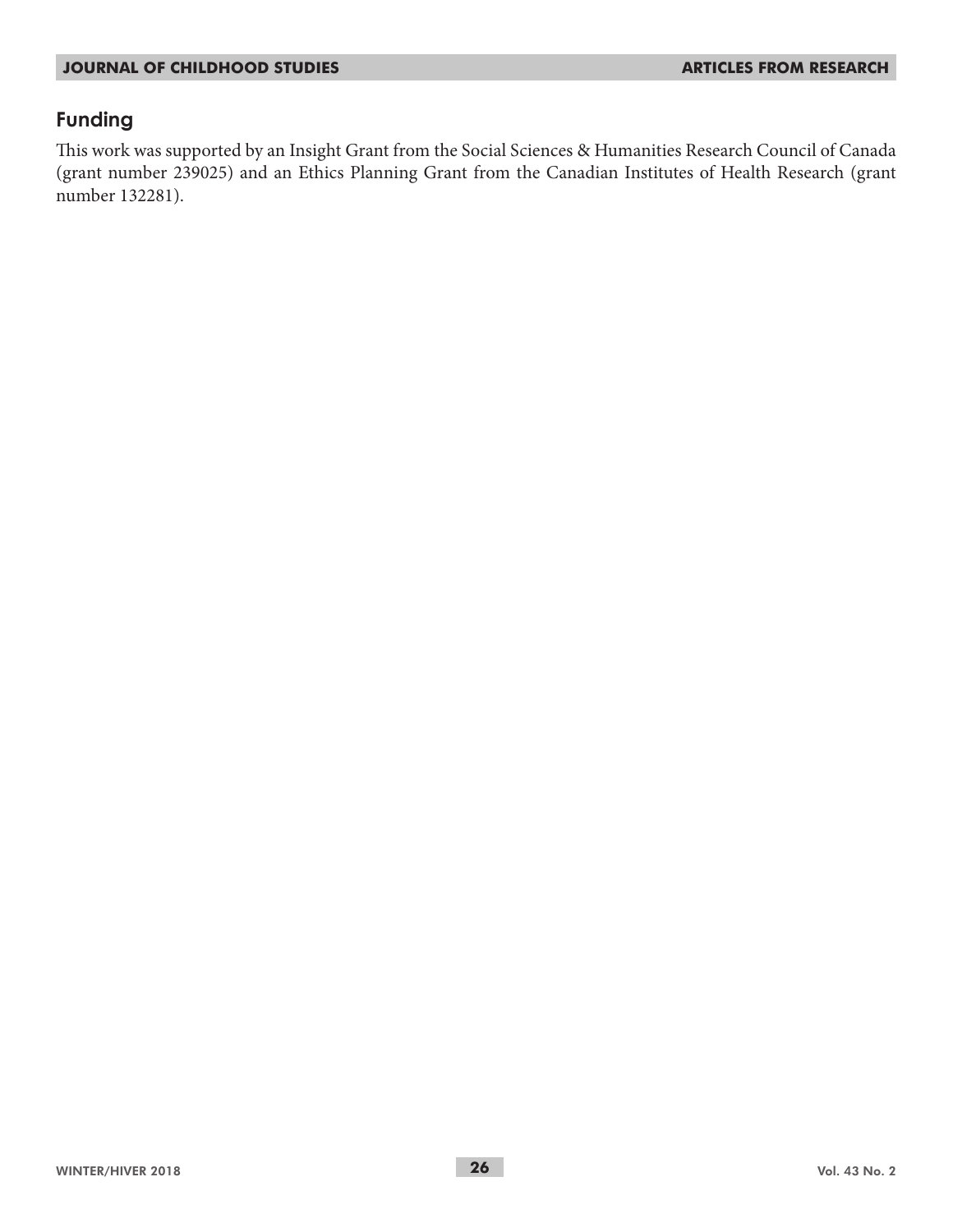# **Funding**

This work was supported by an Insight Grant from the Social Sciences & Humanities Research Council of Canada (grant number 239025) and an Ethics Planning Grant from the Canadian Institutes of Health Research (grant number 132281).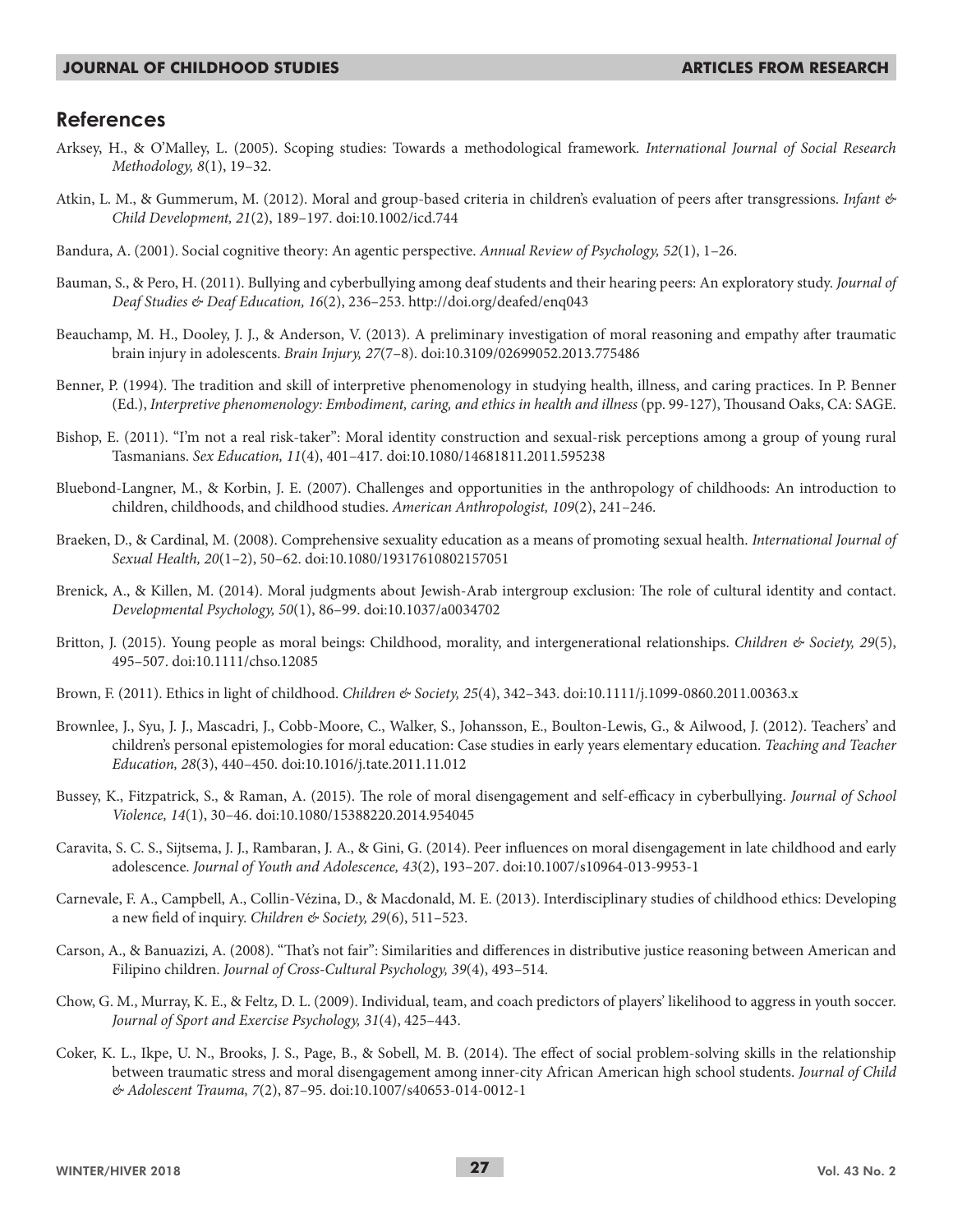### **References**

- Arksey, H., & O'Malley, L. (2005). Scoping studies: Towards a methodological framework. *International Journal of Social Research Methodology, 8*(1), 19–32.
- Atkin, L. M., & Gummerum, M. (2012). Moral and group-based criteria in children's evaluation of peers after transgressions. *Infant & Child Development, 21*(2), 189–197. doi:10.1002/icd.744
- Bandura, A. (2001). Social cognitive theory: An agentic perspective. *Annual Review of Psychology, 52*(1), 1–26.
- Bauman, S., & Pero, H. (2011). Bullying and cyberbullying among deaf students and their hearing peers: An exploratory study. *Journal of Deaf Studies & Deaf Education, 16*(2), 236–253. http://doi.org/deafed/enq043
- Beauchamp, M. H., Dooley, J. J., & Anderson, V. (2013). A preliminary investigation of moral reasoning and empathy after traumatic brain injury in adolescents. *Brain Injury, 27*(7–8). doi:10.3109/02699052.2013.775486
- Benner, P. (1994). The tradition and skill of interpretive phenomenology in studying health, illness, and caring practices. In P. Benner (Ed.), *Interpretive phenomenology: Embodiment, caring, and ethics in health and illness* (pp. 99-127), Thousand Oaks, CA: SAGE.
- Bishop, E. (2011). "I'm not a real risk-taker": Moral identity construction and sexual-risk perceptions among a group of young rural Tasmanians. *Sex Education, 11*(4), 401–417. doi:10.1080/14681811.2011.595238
- Bluebond-Langner, M., & Korbin, J. E. (2007). Challenges and opportunities in the anthropology of childhoods: An introduction to children, childhoods, and childhood studies. *American Anthropologist, 109*(2), 241–246.
- Braeken, D., & Cardinal, M. (2008). Comprehensive sexuality education as a means of promoting sexual health. *International Journal of Sexual Health, 20*(1–2), 50–62. doi:10.1080/19317610802157051
- Brenick, A., & Killen, M. (2014). Moral judgments about Jewish-Arab intergroup exclusion: The role of cultural identity and contact. *Developmental Psychology, 50*(1), 86–99. doi:10.1037/a0034702
- Britton, J. (2015). Young people as moral beings: Childhood, morality, and intergenerational relationships. *Children & Society, 29*(5), 495–507. doi:10.1111/chso.12085
- Brown, F. (2011). Ethics in light of childhood. *Children & Society, 25*(4), 342–343. doi:10.1111/j.1099-0860.2011.00363.x
- Brownlee, J., Syu, J. J., Mascadri, J., Cobb-Moore, C., Walker, S., Johansson, E., Boulton-Lewis, G., & Ailwood, J. (2012). Teachers' and children's personal epistemologies for moral education: Case studies in early years elementary education. *Teaching and Teacher Education, 28*(3), 440–450. doi:10.1016/j.tate.2011.11.012
- Bussey, K., Fitzpatrick, S., & Raman, A. (2015). The role of moral disengagement and self-efficacy in cyberbullying. *Journal of School Violence, 14*(1), 30–46. doi:10.1080/15388220.2014.954045
- Caravita, S. C. S., Sijtsema, J. J., Rambaran, J. A., & Gini, G. (2014). Peer influences on moral disengagement in late childhood and early adolescence. *Journal of Youth and Adolescence, 43*(2), 193–207. doi:10.1007/s10964-013-9953-1
- Carnevale, F. A., Campbell, A., Collin‐Vézina, D., & Macdonald, M. E. (2013). Interdisciplinary studies of childhood ethics: Developing a new field of inquiry. *Children & Society, 29*(6), 511–523.
- Carson, A., & Banuazizi, A. (2008). "That's not fair": Similarities and differences in distributive justice reasoning between American and Filipino children. *Journal of Cross-Cultural Psychology, 39*(4), 493–514.
- Chow, G. M., Murray, K. E., & Feltz, D. L. (2009). Individual, team, and coach predictors of players' likelihood to aggress in youth soccer. *Journal of Sport and Exercise Psychology, 31*(4), 425–443.
- Coker, K. L., Ikpe, U. N., Brooks, J. S., Page, B., & Sobell, M. B. (2014). The effect of social problem-solving skills in the relationship between traumatic stress and moral disengagement among inner-city African American high school students. *Journal of Child & Adolescent Trauma, 7*(2), 87–95. doi:10.1007/s40653-014-0012-1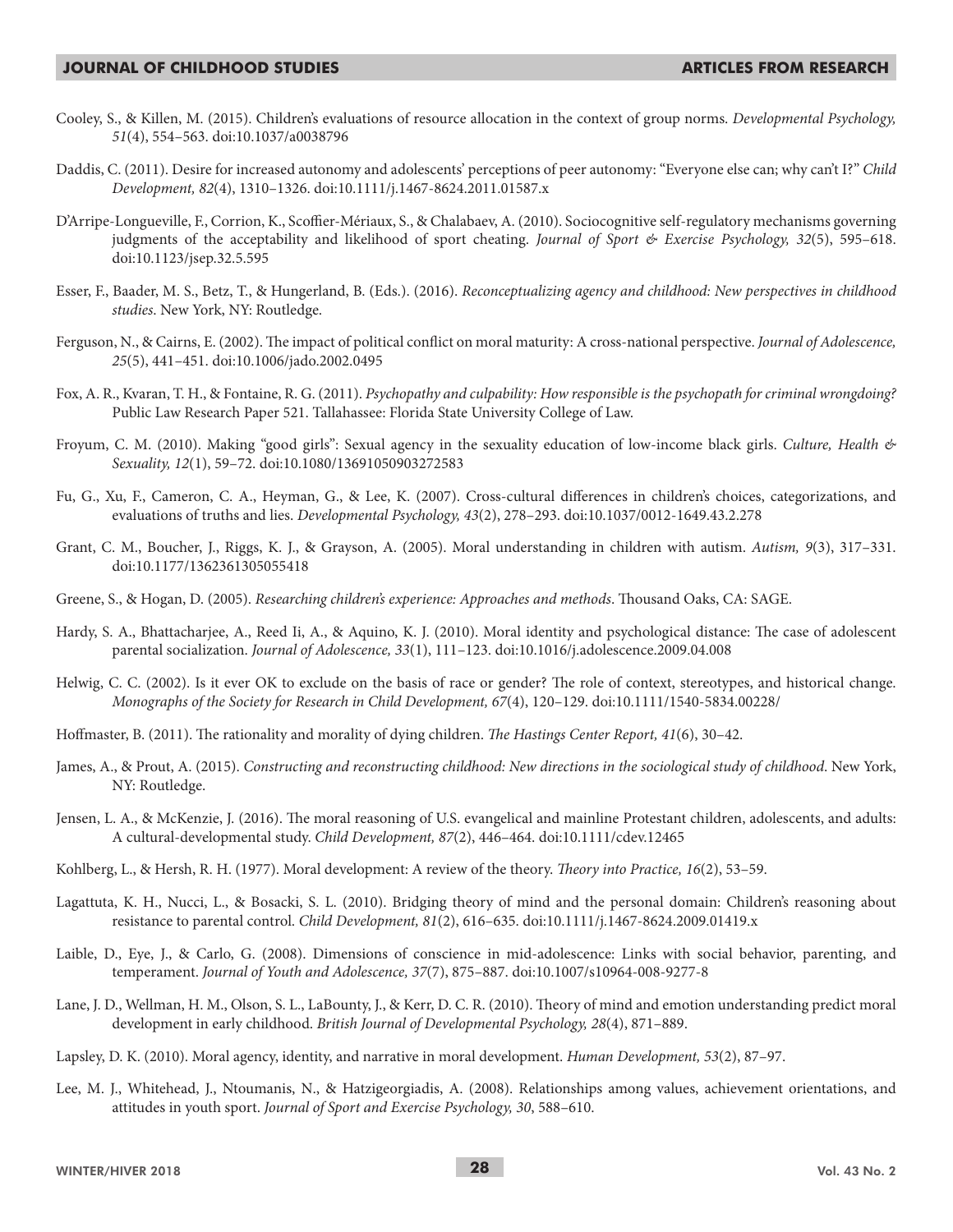- Cooley, S., & Killen, M. (2015). Children's evaluations of resource allocation in the context of group norms. *Developmental Psychology, 51*(4), 554–563. doi:10.1037/a0038796
- Daddis, C. (2011). Desire for increased autonomy and adolescents' perceptions of peer autonomy: "Everyone else can; why can't I?" *Child Development, 82*(4), 1310–1326. doi:10.1111/j.1467-8624.2011.01587.x
- D'Arripe-Longueville, F., Corrion, K., Scoffier-Mériaux, S., & Chalabaev, A. (2010). Sociocognitive self-regulatory mechanisms governing judgments of the acceptability and likelihood of sport cheating. *Journal of Sport & Exercise Psychology, 32*(5), 595–618. doi:10.1123/jsep.32.5.595
- Esser, F., Baader, M. S., Betz, T., & Hungerland, B. (Eds.). (2016). *Reconceptualizing agency and childhood: New perspectives in childhood studies*. New York, NY: Routledge.
- Ferguson, N., & Cairns, E. (2002). The impact of political conflict on moral maturity: A cross-national perspective. *Journal of Adolescence, 25*(5), 441–451. doi:10.1006/jado.2002.0495
- Fox, A. R., Kvaran, T. H., & Fontaine, R. G. (2011). *Psychopathy and culpability: How responsible is the psychopath for criminal wrongdoing?* Public Law Research Paper 521. Tallahassee: Florida State University College of Law.
- Froyum, C. M. (2010). Making "good girls": Sexual agency in the sexuality education of low-income black girls. *Culture, Health & Sexuality, 12*(1), 59–72. doi:10.1080/13691050903272583
- Fu, G., Xu, F., Cameron, C. A., Heyman, G., & Lee, K. (2007). Cross-cultural differences in children's choices, categorizations, and evaluations of truths and lies. *Developmental Psychology, 43*(2), 278–293. doi:10.1037/0012-1649.43.2.278
- Grant, C. M., Boucher, J., Riggs, K. J., & Grayson, A. (2005). Moral understanding in children with autism. *Autism, 9*(3), 317–331. doi:10.1177/1362361305055418
- Greene, S., & Hogan, D. (2005). *Researching children's experience: Approaches and methods*. Thousand Oaks, CA: SAGE.
- Hardy, S. A., Bhattacharjee, A., Reed Ii, A., & Aquino, K. J. (2010). Moral identity and psychological distance: The case of adolescent parental socialization. *Journal of Adolescence, 33*(1), 111–123. doi:10.1016/j.adolescence.2009.04.008
- Helwig, C. C. (2002). Is it ever OK to exclude on the basis of race or gender? The role of context, stereotypes, and historical change. *Monographs of the Society for Research in Child Development, 67*(4), 120–129. doi:10.1111/1540-5834.00228/
- Hoffmaster, B. (2011). The rationality and morality of dying children. *The Hastings Center Report, 41*(6), 30–42.
- James, A., & Prout, A. (2015). *Constructing and reconstructing childhood: New directions in the sociological study of childhood*. New York, NY: Routledge.
- Jensen, L. A., & McKenzie, J. (2016). The moral reasoning of U.S. evangelical and mainline Protestant children, adolescents, and adults: A cultural-developmental study. *Child Development, 87*(2), 446–464. doi:10.1111/cdev.12465
- Kohlberg, L., & Hersh, R. H. (1977). Moral development: A review of the theory. *Theory into Practice, 16*(2), 53–59.
- Lagattuta, K. H., Nucci, L., & Bosacki, S. L. (2010). Bridging theory of mind and the personal domain: Children's reasoning about resistance to parental control. *Child Development, 81*(2), 616–635. doi:10.1111/j.1467-8624.2009.01419.x
- Laible, D., Eye, J., & Carlo, G. (2008). Dimensions of conscience in mid-adolescence: Links with social behavior, parenting, and temperament. *Journal of Youth and Adolescence, 37*(7), 875–887. doi:10.1007/s10964-008-9277-8
- Lane, J. D., Wellman, H. M., Olson, S. L., LaBounty, J., & Kerr, D. C. R. (2010). Theory of mind and emotion understanding predict moral development in early childhood. *British Journal of Developmental Psychology, 28*(4), 871–889.
- Lapsley, D. K. (2010). Moral agency, identity, and narrative in moral development. *Human Development, 53*(2), 87–97.
- Lee, M. J., Whitehead, J., Ntoumanis, N., & Hatzigeorgiadis, A. (2008). Relationships among values, achievement orientations, and attitudes in youth sport. *Journal of Sport and Exercise Psychology, 30*, 588–610.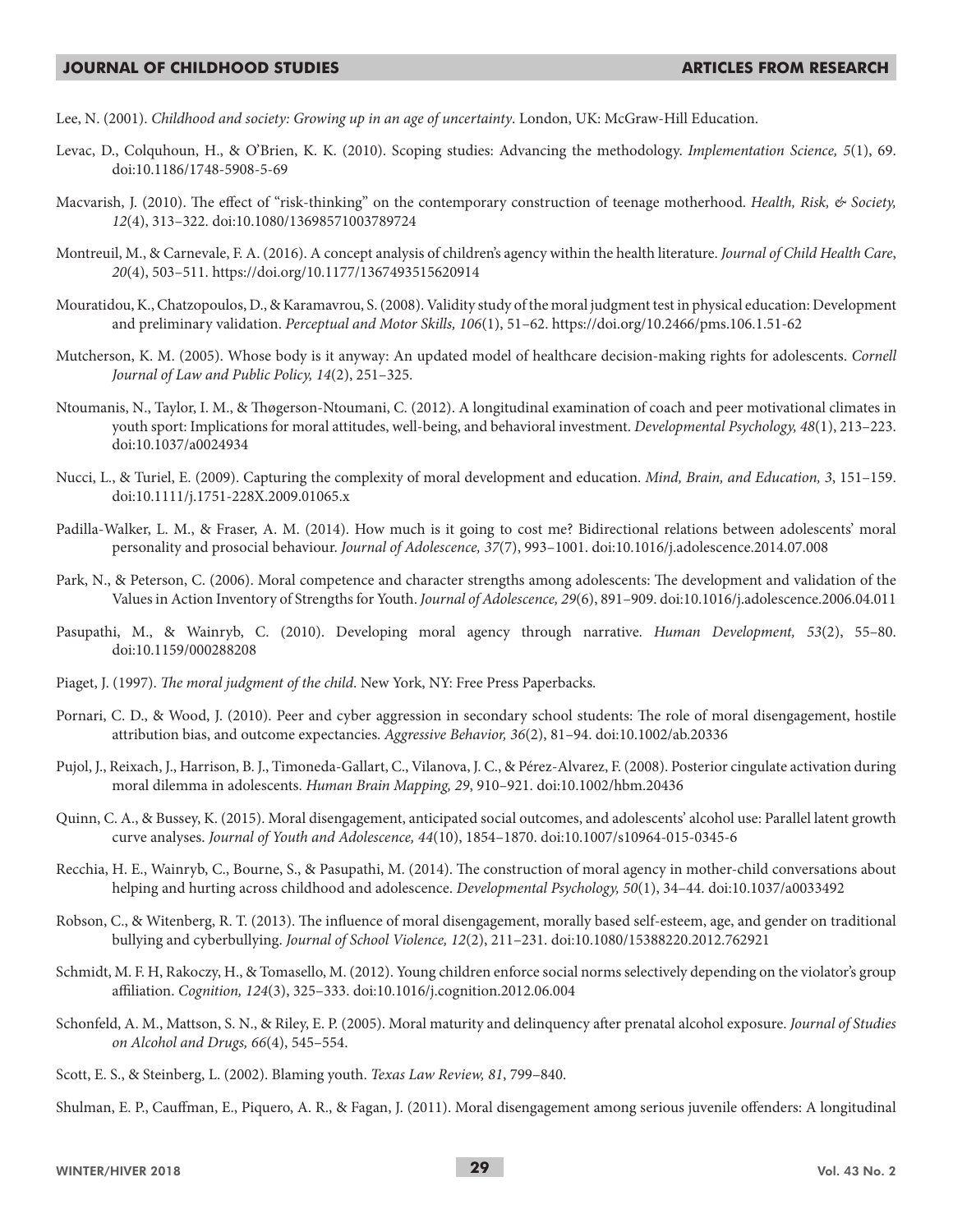Lee, N. (2001). *Childhood and society: Growing up in an age of uncertainty*. London, UK: McGraw-Hill Education.

- Levac, D., Colquhoun, H., & O'Brien, K. K. (2010). Scoping studies: Advancing the methodology. *Implementation Science, 5*(1), 69. doi:10.1186/1748-5908-5-69
- Macvarish, J. (2010). The effect of "risk-thinking" on the contemporary construction of teenage motherhood. *Health, Risk, & Society, 12*(4), 313–322. doi:10.1080/13698571003789724
- Montreuil, M., & Carnevale, F. A. (2016). A concept analysis of children's agency within the health literature. *Journal of Child Health Care*, *20*(4), 503–511. https://doi.org/10.1177/1367493515620914
- Mouratidou, K., Chatzopoulos, D., & Karamavrou, S. (2008). Validity study of the moral judgment test in physical education: Development and preliminary validation. *Perceptual and Motor Skills, 106*(1), 51–62. https://doi.org/10.2466/pms.106.1.51-62
- Mutcherson, K. M. (2005). Whose body is it anyway: An updated model of healthcare decision-making rights for adolescents. *Cornell Journal of Law and Public Policy, 14*(2), 251–325.
- Ntoumanis, N., Taylor, I. M., & Thøgerson-Ntoumani, C. (2012). A longitudinal examination of coach and peer motivational climates in youth sport: Implications for moral attitudes, well-being, and behavioral investment. *Developmental Psychology, 48*(1), 213–223. doi:10.1037/a0024934
- Nucci, L., & Turiel, E. (2009). Capturing the complexity of moral development and education. *Mind, Brain, and Education, 3*, 151–159. doi:10.1111/j.1751-228X.2009.01065.x
- Padilla-Walker, L. M., & Fraser, A. M. (2014). How much is it going to cost me? Bidirectional relations between adolescents' moral personality and prosocial behaviour. *Journal of Adolescence, 37*(7), 993–1001. doi:10.1016/j.adolescence.2014.07.008
- Park, N., & Peterson, C. (2006). Moral competence and character strengths among adolescents: The development and validation of the Values in Action Inventory of Strengths for Youth. *Journal of Adolescence, 29*(6), 891–909. doi:10.1016/j.adolescence.2006.04.011
- Pasupathi, M., & Wainryb, C. (2010). Developing moral agency through narrative. *Human Development, 53*(2), 55–80. doi:10.1159/000288208
- Piaget, J. (1997). *The moral judgment of the child*. New York, NY: Free Press Paperbacks.
- Pornari, C. D., & Wood, J. (2010). Peer and cyber aggression in secondary school students: The role of moral disengagement, hostile attribution bias, and outcome expectancies. *Aggressive Behavior, 36*(2), 81–94. doi:10.1002/ab.20336
- Pujol, J., Reixach, J., Harrison, B. J., Timoneda-Gallart, C., Vilanova, J. C., & Pérez-Alvarez, F. (2008). Posterior cingulate activation during moral dilemma in adolescents. *Human Brain Mapping, 29*, 910–921. doi:10.1002/hbm.20436
- Quinn, C. A., & Bussey, K. (2015). Moral disengagement, anticipated social outcomes, and adolescents' alcohol use: Parallel latent growth curve analyses. *Journal of Youth and Adolescence, 44*(10), 1854–1870. doi:10.1007/s10964-015-0345-6
- Recchia, H. E., Wainryb, C., Bourne, S., & Pasupathi, M. (2014). The construction of moral agency in mother-child conversations about helping and hurting across childhood and adolescence. *Developmental Psychology, 50*(1), 34–44. doi:10.1037/a0033492
- Robson, C., & Witenberg, R. T. (2013). The influence of moral disengagement, morally based self-esteem, age, and gender on traditional bullying and cyberbullying. *Journal of School Violence, 12*(2), 211–231. doi:10.1080/15388220.2012.762921
- Schmidt, M. F. H, Rakoczy, H., & Tomasello, M. (2012). Young children enforce social norms selectively depending on the violator's group affiliation. *Cognition, 124*(3), 325–333. doi:10.1016/j.cognition.2012.06.004
- Schonfeld, A. M., Mattson, S. N., & Riley, E. P. (2005). Moral maturity and delinquency after prenatal alcohol exposure. *Journal of Studies on Alcohol and Drugs, 66*(4), 545–554.
- Scott, E. S., & Steinberg, L. (2002). Blaming youth. *Texas Law Review, 81*, 799–840.

Shulman, E. P., Cauffman, E., Piquero, A. R., & Fagan, J. (2011). Moral disengagement among serious juvenile offenders: A longitudinal